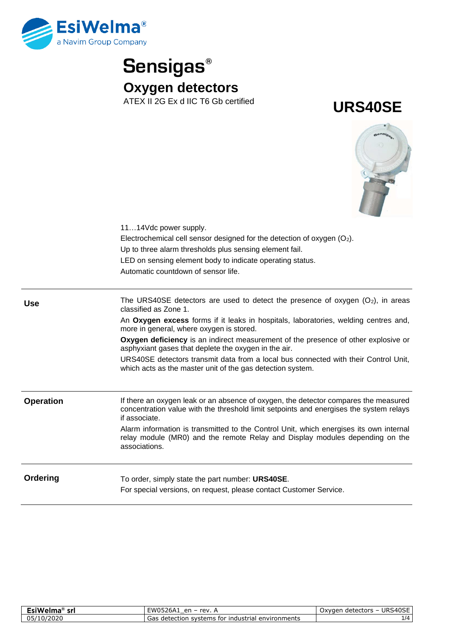





|                  | 1114Vdc power supply.<br>Electrochemical cell sensor designed for the detection of oxygen $(O_2)$ .<br>Up to three alarm thresholds plus sensing element fail.<br>LED on sensing element body to indicate operating status.<br>Automatic countdown of sensor life. |
|------------------|--------------------------------------------------------------------------------------------------------------------------------------------------------------------------------------------------------------------------------------------------------------------|
| <b>Use</b>       | The URS40SE detectors are used to detect the presence of oxygen $(O_2)$ , in areas<br>classified as Zone 1.                                                                                                                                                        |
|                  | An Oxygen excess forms if it leaks in hospitals, laboratories, welding centres and,<br>more in general, where oxygen is stored.                                                                                                                                    |
|                  | Oxygen deficiency is an indirect measurement of the presence of other explosive or<br>asphyxiant gases that deplete the oxygen in the air.                                                                                                                         |
|                  | URS40SE detectors transmit data from a local bus connected with their Control Unit,<br>which acts as the master unit of the gas detection system.                                                                                                                  |
| <b>Operation</b> | If there an oxygen leak or an absence of oxygen, the detector compares the measured                                                                                                                                                                                |
|                  | concentration value with the threshold limit setpoints and energises the system relays<br>if associate.                                                                                                                                                            |
|                  | Alarm information is transmitted to the Control Unit, which energises its own internal<br>relay module (MR0) and the remote Relay and Display modules depending on the<br>associations.                                                                            |
| Ordering         | To order, simply state the part number: URS40SE.<br>For special versions, on request, please contact Customer Service.                                                                                                                                             |
|                  |                                                                                                                                                                                                                                                                    |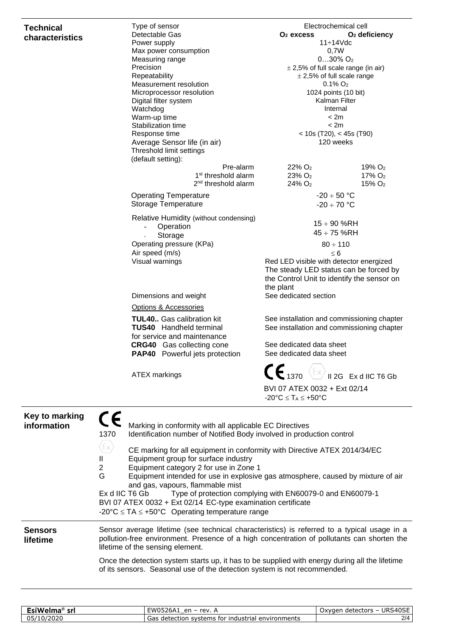## **Technical characteristics**

| Type of sensor                         | Electrochemical cell                                                                           |                           |  |
|----------------------------------------|------------------------------------------------------------------------------------------------|---------------------------|--|
| Detectable Gas                         | $O2$ excess                                                                                    | O <sub>2</sub> deficiency |  |
| Power supply                           | $11 - 14$ Vdc                                                                                  |                           |  |
| Max power consumption                  | 0,7W                                                                                           |                           |  |
| Measuring range                        | $030\%$ O <sub>2</sub>                                                                         |                           |  |
| Precision                              | $\pm$ 2,5% of full scale range (in air)                                                        |                           |  |
| Repeatability                          | $±$ 2,5% of full scale range                                                                   |                           |  |
| Measurement resolution                 | $0.1\%$ O <sub>2</sub>                                                                         |                           |  |
| Microprocessor resolution              |                                                                                                | 1024 points (10 bit)      |  |
| Digital filter system                  | Kalman Filter                                                                                  |                           |  |
| Watchdog                               | Internal                                                                                       |                           |  |
| Warm-up time                           | < 2m                                                                                           |                           |  |
| Stabilization time                     | < 2m                                                                                           |                           |  |
| Response time                          | $<$ 10s (T20), $<$ 45s (T90)                                                                   |                           |  |
| Average Sensor life (in air)           | 120 weeks                                                                                      |                           |  |
| Threshold limit settings               |                                                                                                |                           |  |
| (default setting):                     |                                                                                                |                           |  |
| Pre-alarm                              | $22\%$ O <sub>2</sub>                                                                          | 19% O <sub>2</sub>        |  |
| 1 <sup>st</sup> threshold alarm        | 23% O <sub>2</sub>                                                                             | 17% O <sub>2</sub>        |  |
| 2 <sup>nd</sup> threshold alarm        | $24\%$ O <sub>2</sub>                                                                          | 15% O <sub>2</sub>        |  |
| <b>Operating Temperature</b>           | $-20 \div 50$ °C                                                                               |                           |  |
| Storage Temperature                    | $-20 \div 70$ °C                                                                               |                           |  |
|                                        |                                                                                                |                           |  |
| Relative Humidity (without condensing) | $15 \div 90$ %RH                                                                               |                           |  |
| Operation                              | $45 \div 75$ %RH                                                                               |                           |  |
| Storage                                |                                                                                                |                           |  |
| Operating pressure (KPa)               | $80 \div 110$                                                                                  |                           |  |
| Air speed (m/s)                        | $\leq 6$                                                                                       |                           |  |
| Visual warnings                        | Red LED visible with detector energized                                                        |                           |  |
|                                        | The steady LED status can be forced by                                                         |                           |  |
|                                        | the Control Unit to identify the sensor on                                                     |                           |  |
|                                        | the plant                                                                                      |                           |  |
| Dimensions and weight                  | See dedicated section                                                                          |                           |  |
| Options & Accessories                  |                                                                                                |                           |  |
| <b>TUL40</b> Gas calibration kit       | See installation and commissioning chapter                                                     |                           |  |
| <b>TUS40</b> Handheld terminal         | See installation and commissioning chapter                                                     |                           |  |
| for service and maintenance            |                                                                                                |                           |  |
| <b>CRG40</b> Gas collecting cone       | See dedicated data sheet                                                                       |                           |  |
| PAP40 Powerful jets protection         | See dedicated data sheet                                                                       |                           |  |
|                                        |                                                                                                |                           |  |
|                                        | $\textsf{CE}_{\text{1370}} \left\langle \text{Ex} \right\rangle_{\text{II 2G EX d IIC T6 Gb}}$ |                           |  |
| <b>ATEX markings</b>                   |                                                                                                |                           |  |
|                                        | BVI 07 ATEX 0032 + Ext 02/14                                                                   |                           |  |
|                                        | $-20^{\circ}C \leq T_A \leq +50^{\circ}C$                                                      |                           |  |
|                                        |                                                                                                |                           |  |
|                                        |                                                                                                |                           |  |

| Key to marking<br>information | C E<br>Marking in conformity with all applicable EC Directives<br>Identification number of Notified Body involved in production control<br>1370<br>$\left[\epsilon_{\mathrm{X}}\right]$<br>CE marking for all equipment in conformity with Directive ATEX 2014/34/EC<br>Equipment group for surface industry<br>Ш<br>Equipment category 2 for use in Zone 1<br>$\mathbf{2}^{\prime}$<br>G<br>Equipment intended for use in explosive gas atmosphere, caused by mixture of air<br>and gas, vapours, flammable mist<br>Ex d IIC T6 Gb Type of protection complying with EN60079-0 and EN60079-1<br>BVI 07 ATEX 0032 + Ext 02/14 EC-type examination certificate<br>-20°C $\leq$ TA $\leq$ +50°C Operating temperature range |  |
|-------------------------------|---------------------------------------------------------------------------------------------------------------------------------------------------------------------------------------------------------------------------------------------------------------------------------------------------------------------------------------------------------------------------------------------------------------------------------------------------------------------------------------------------------------------------------------------------------------------------------------------------------------------------------------------------------------------------------------------------------------------------|--|
| <b>Sensors</b><br>lifetime    | Sensor average lifetime (see technical characteristics) is referred to a typical usage in a<br>pollution-free environment. Presence of a high concentration of pollutants can shorten the<br>lifetime of the sensing element.<br>Once the detection system starts up, it has to be supplied with energy during all the lifetime<br>of its sensors. Seasonal use of the detection system is not recommended.                                                                                                                                                                                                                                                                                                               |  |

| <b>FeiWe</b><br>sr<br>ma | ≡wo∙<br>rev.<br>ρn<br>/U526A1<br>$\overline{\phantom{0}}$            | 10CE<br><b>URS</b><br>detectors –<br>xvaer<br>$\mathbf{v}$<br>ュしコレ<br>◡́∧៴ |
|--------------------------|----------------------------------------------------------------------|----------------------------------------------------------------------------|
| <b>ZUZU</b><br>ᅩ୰<br>ັ   | svstems for<br>environments<br>industrial<br>detection<br>гіан<br>ەت | 114                                                                        |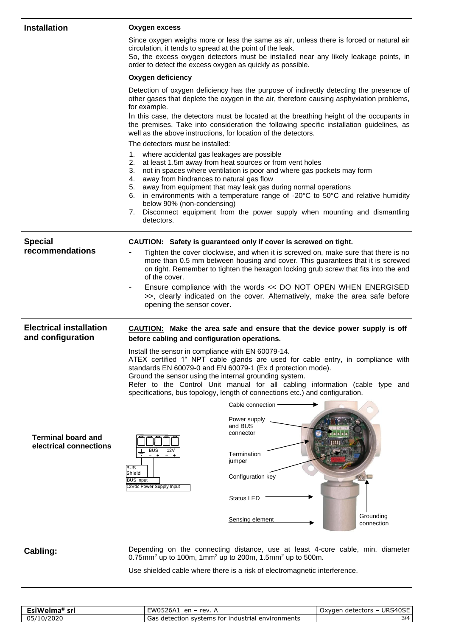| <b>Installation</b>                                 | <b>Oxygen excess</b>                                                                                                                                                                                                                                                                                                                                                                                                                                                                                                                                                                                                                                                                                          |
|-----------------------------------------------------|---------------------------------------------------------------------------------------------------------------------------------------------------------------------------------------------------------------------------------------------------------------------------------------------------------------------------------------------------------------------------------------------------------------------------------------------------------------------------------------------------------------------------------------------------------------------------------------------------------------------------------------------------------------------------------------------------------------|
|                                                     | Since oxygen weighs more or less the same as air, unless there is forced or natural air<br>circulation, it tends to spread at the point of the leak.<br>So, the excess oxygen detectors must be installed near any likely leakage points, in<br>order to detect the excess oxygen as quickly as possible.                                                                                                                                                                                                                                                                                                                                                                                                     |
|                                                     | Oxygen deficiency                                                                                                                                                                                                                                                                                                                                                                                                                                                                                                                                                                                                                                                                                             |
|                                                     | Detection of oxygen deficiency has the purpose of indirectly detecting the presence of<br>other gases that deplete the oxygen in the air, therefore causing asphyxiation problems,<br>for example.<br>In this case, the detectors must be located at the breathing height of the occupants in<br>the premises. Take into consideration the following specific installation guidelines, as<br>well as the above instructions, for location of the detectors.                                                                                                                                                                                                                                                   |
|                                                     | The detectors must be installed:                                                                                                                                                                                                                                                                                                                                                                                                                                                                                                                                                                                                                                                                              |
|                                                     | 1. where accidental gas leakages are possible<br>at least 1.5m away from heat sources or from vent holes<br>2.<br>not in spaces where ventilation is poor and where gas pockets may form<br>3.<br>away from hindrances to natural gas flow<br>4.<br>away from equipment that may leak gas during normal operations<br>5.<br>in environments with a temperature range of $-20^{\circ}$ C to $50^{\circ}$ C and relative humidity<br>6.<br>below 90% (non-condensing)<br>Disconnect equipment from the power supply when mounting and dismantling<br>7.<br>detectors.                                                                                                                                           |
| <b>Special</b>                                      | CAUTION: Safety is guaranteed only if cover is screwed on tight.                                                                                                                                                                                                                                                                                                                                                                                                                                                                                                                                                                                                                                              |
| recommendations                                     | Tighten the cover clockwise, and when it is screwed on, make sure that there is no<br>more than 0.5 mm between housing and cover. This guarantees that it is screwed<br>on tight. Remember to tighten the hexagon locking grub screw that fits into the end<br>of the cover.<br>Ensure compliance with the words << DO NOT OPEN WHEN ENERGISED<br>>>, clearly indicated on the cover. Alternatively, make the area safe before<br>opening the sensor cover.                                                                                                                                                                                                                                                   |
| <b>Electrical installation</b><br>and configuration | CAUTION: Make the area safe and ensure that the device power supply is off<br>before cabling and configuration operations.                                                                                                                                                                                                                                                                                                                                                                                                                                                                                                                                                                                    |
| <b>Terminal board and</b><br>electrical connections | Install the sensor in compliance with EN 60079-14.<br>ATEX certified 1" NPT cable glands are used for cable entry, in compliance with<br>standards EN 60079-0 and EN 60079-1 (Ex d protection mode).<br>Ground the sensor using the internal grounding system.<br>Refer to the Control Unit manual for all cabling information (cable type and<br>specifications, bus topology, length of connections etc.) and configuration.<br>Cable connection<br>Power supply<br>and BUS<br>connector<br><b>BUS</b><br>12 <sup>V</sup><br>Termination<br>jumper<br><b>BUS</b><br>Shield<br>Configuration key<br><b>BUS Input</b><br>12Vdc Power Supply Input<br>Status LED<br>Grounding<br>Sensing element<br>connection |
| Cabling:                                            | Depending on the connecting distance, use at least 4-core cable, min. diameter<br>0.75mm <sup>2</sup> up to 100m, 1mm <sup>2</sup> up to 200m, 1.5mm <sup>2</sup> up to 500m.                                                                                                                                                                                                                                                                                                                                                                                                                                                                                                                                 |

Use shielded cable where there is a risk of electromagnetic interference.

| <b>EsiWelma</b> <sup>®</sup><br>sr | <b>FWO5264</b><br><b>rev</b><br>en<br>∴⊿ZbA<br>$\overline{\phantom{0}}$          | URS40SE<br>detectors<br>Oxvgen |
|------------------------------------|----------------------------------------------------------------------------------|--------------------------------|
| nĘ.<br>7202C<br>107<br>יכט<br>∸∾   | industrial environments <sup>.</sup><br>. svstems :<br>Gas<br>detection<br>, for | 3/4                            |